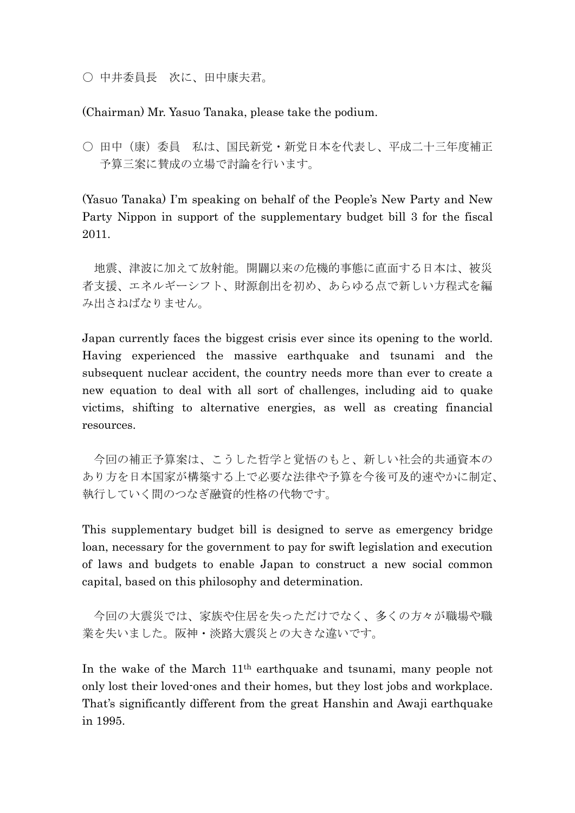○ 中井委員長 次に、田中康夫君。

(Chairman) Mr. Yasuo Tanaka, please take the podium.

○ 田中(康)委員 私は、国民新党·新党日本を代表し、平成二十三年度補正 予算三案に賛成の立場で討論を行います。

(Yasuo Tanaka) I"m speaking on behalf of the People"s New Party and New Party Nippon in support of the supplementary budget bill 3 for the fiscal 2011.

地震、津波に加えて放射能。開闢以来の危機的事態に直面する日本は、被災 者支援、エネルギーシフト、財源創出を初め、あらゆる点で新しい方程式を編 み出さねばなりません。

Japan currently faces the biggest crisis ever since its opening to the world. Having experienced the massive earthquake and tsunami and the subsequent nuclear accident, the country needs more than ever to create a new equation to deal with all sort of challenges, including aid to quake victims, shifting to alternative energies, as well as creating financial resources.

今回の補正予算案は、こうした哲学と覚悟のもと、新しい社会的共通資本の あり方を日本国家が構築する上で必要な法律や予算を今後可及的速やかに制定、 執行していく間のつなぎ融資的性格の代物です。

This supplementary budget bill is designed to serve as emergency bridge loan, necessary for the government to pay for swift legislation and execution of laws and budgets to enable Japan to construct a new social common capital, based on this philosophy and determination.

今回の大震災では、家族や住居を失っただけでなく、多くの方々が職場や職 業を失いました。阪神・淡路大震災との大きな違いです。

In the wake of the March 11th earthquake and tsunami, many people not only lost their loved-ones and their homes, but they lost jobs and workplace. That's significantly different from the great Hanshin and Awaji earthquake in 1995.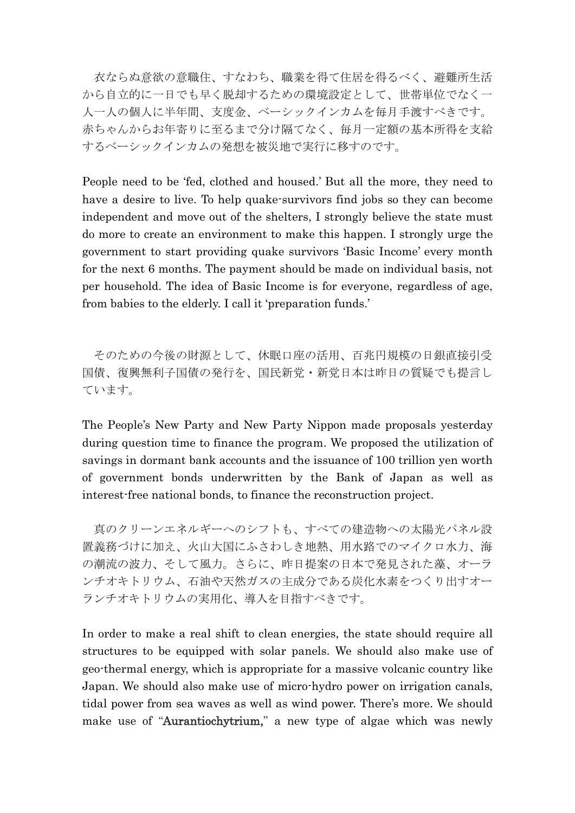衣ならぬ意欲の意職住、すなわち、職業を得て住居を得るべく、避難所生活 から自立的に一日でも早く脱却するための環境設定として、世帯単位でなく一 人一人の個人に半年間、支度金、ベーシックインカムを毎月手渡すべきです。 赤ちゃんからお年寄りに至るまで分け隔てなく、毎月一定額の基本所得を支給 するベーシックインカムの発想を被災地で実行に移すのです。

People need to be "fed, clothed and housed." But all the more, they need to have a desire to live. To help quake-survivors find jobs so they can become independent and move out of the shelters, I strongly believe the state must do more to create an environment to make this happen. I strongly urge the government to start providing quake survivors "Basic Income" every month for the next 6 months. The payment should be made on individual basis, not per household. The idea of Basic Income is for everyone, regardless of age, from babies to the elderly. I call it 'preparation funds.'

そのための今後の財源として、休眠口座の活用、百兆円規模の日銀直接引受 国債、復興無利子国債の発行を、国民新党・新党日本は昨日の質疑でも提言し ています。

The People's New Party and New Party Nippon made proposals yesterday during question time to finance the program. We proposed the utilization of savings in dormant bank accounts and the issuance of 100 trillion yen worth of government bonds underwritten by the Bank of Japan as well as interest-free national bonds, to finance the reconstruction project.

真のクリーンエネルギーへのシフトも、すべての建造物への太陽光パネル設 置義務づけに加え、火山大国にふさわしき地熱、用水路でのマイクロ水力、海 の潮流の波力、そして風力。さらに、昨日提案の日本で発見された藻、オーラ ンチオキトリウム、石油や天然ガスの主成分である炭化水素をつくり出すオー ランチオキトリウムの実用化、導入を目指すべきです。

In order to make a real shift to clean energies, the state should require all structures to be equipped with solar panels. We should also make use of geo-thermal energy, which is appropriate for a massive volcanic country like Japan. We should also make use of micro-hydro power on irrigation canals, tidal power from sea waves as well as wind power. There's more. We should make use of "Aurantiochytrium," a new type of algae which was newly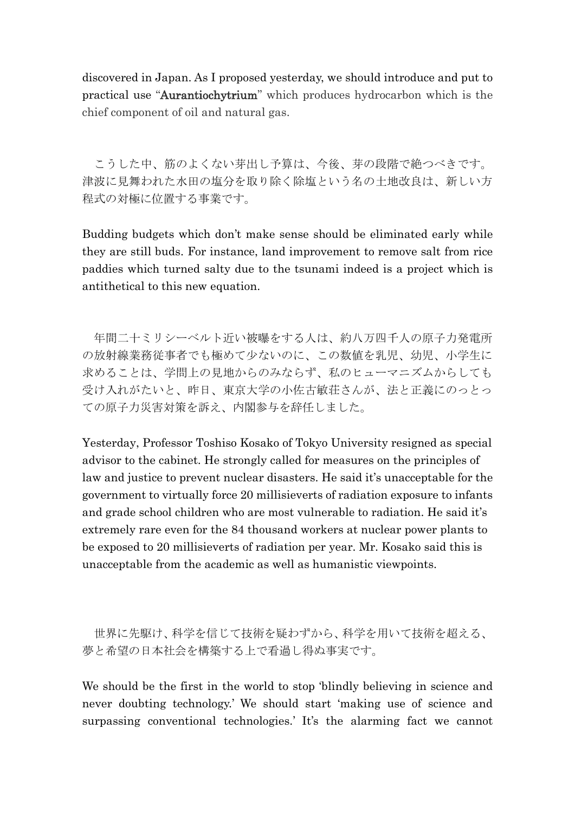discovered in Japan. As I proposed yesterday, we should introduce and put to practical use "Aurantiochytrium" which produces hydrocarbon which is the chief component of oil and natural gas.

こうした中、筋のよくない芽出し予算は、今後、芽の段階で絶つべきです。 津波に見舞われた水田の塩分を取り除く除塩という名の土地改良は、新しい方 程式の対極に位置する事業です。

Budding budgets which don"t make sense should be eliminated early while they are still buds. For instance, land improvement to remove salt from rice paddies which turned salty due to the tsunami indeed is a project which is antithetical to this new equation.

年間二十ミリシーベルト近い被曝をする人は、約八万四千人の原子力発電所 の放射線業務従事者でも極めて少ないのに、この数値を乳児、幼児、小学生に 求めることは、学問上の見地からのみならず、私のヒューマニズムからしても 受け入れがたいと、昨日、東京大学の小佐古敏荘さんが、法と正義にのっとっ ての原子力災害対策を訴え、内閣参与を辞任しました。

Yesterday, Professor Toshiso Kosako of Tokyo University resigned as special advisor to the cabinet. He strongly called for measures on the principles of law and justice to prevent nuclear disasters. He said it's unacceptable for the government to virtually force 20 millisieverts of radiation exposure to infants and grade school children who are most vulnerable to radiation. He said it's extremely rare even for the 84 thousand workers at nuclear power plants to be exposed to 20 millisieverts of radiation per year. Mr. Kosako said this is unacceptable from the academic as well as humanistic viewpoints.

世界に先駆け、科学を信じて技術を疑わずから、科学を用いて技術を超える、 夢と希望の日本社会を構築する上で看過し得ぬ事実です。

We should be the first in the world to stop "blindly believing in science and never doubting technology." We should start "making use of science and surpassing conventional technologies.' It's the alarming fact we cannot